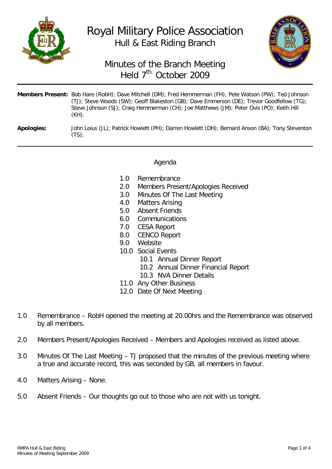

## Royal Military Police Association Hull & East Riding Branch



## Minutes of the Branch Meeting Held 7<sup>th.</sup> October 2009

|                   | <b>Members Present:</b> Bob Hare (RobH); Dave Mitchell (DM); Fred Hemmerman (FH); Pete Watson (PW); Ted Johnson<br>(TJ); Steve Woods (SW); Geoff Blakeston (GB); Dave Emmerson (DE); Trevor Goodfellow (TG);<br>Steve Johnson (SJ); Craig Hemmerman (CH); Joe Matthews (JM); Peter Ovis (PO); Keith Hill<br>$(KH)$ . |
|-------------------|----------------------------------------------------------------------------------------------------------------------------------------------------------------------------------------------------------------------------------------------------------------------------------------------------------------------|
| <b>Apologies:</b> | John Loius (JL); Patrick Howlett (PH); Darren Howlett (DH); Bernard Anson (BA); Tony Steventon<br>(TS):                                                                                                                                                                                                              |

## Agenda

- 1.0 Remembrance<br>2.0 Members Prese
- Members Present/Apologies Received
- 3.0 Minutes Of The Last Meeting<br>4.0 Matters Arising
- 4.0 Matters Arising<br>5.0 Absent Friends
- Absent Friends
- 6.0 Communications
- 7.0 CESA Report
- **CENCO Report**
- 9.0 Website
- 10.0 Social Events
	- 10.1 Annual Dinner Report
	- 10.2 Annual Dinner Financial Report
	- 10.3 NVA Dinner Details
- 11.0 Any Other Business
- 12.0 Date Of Next Meeting
- 1.0 Remembrance RobH opened the meeting at 20.00hrs and the Remembrance was observed by all members.
- 2.0 Members Present/Apologies Received Members and Apologies received as listed above.
- 3.0 Minutes Of The Last Meeting TJ proposed that the minutes of the previous meeting where a true and accurate record, this was seconded by GB, all members in favour.
- 4.0 Matters Arising None.
- 5.0 Absent Friends Our thoughts go out to those who are not with us tonight.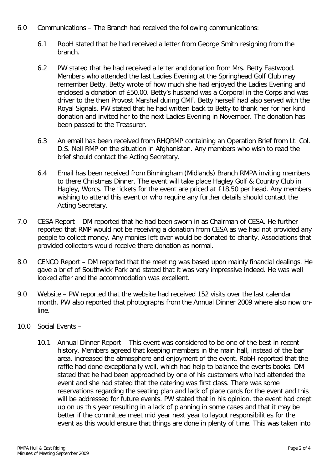- 6.0 Communications The Branch had received the following communications:
	- 6.1 RobH stated that he had received a letter from George Smith resigning from the branch.
	- 6.2 PW stated that he had received a letter and donation from Mrs. Betty Eastwood. Members who attended the last Ladies Evening at the Springhead Golf Club may remember Betty. Betty wrote of how much she had enjoyed the Ladies Evening and enclosed a donation of £50.00. Betty's husband was a Corporal in the Corps and was driver to the then Provost Marshal during CMF. Betty herself had also served with the Royal Signals. PW stated that he had written back to Betty to thank her for her kind donation and invited her to the next Ladies Evening in November. The donation has been passed to the Treasurer.
	- 6.3 An email has been received from RHQRMP containing an Operation Brief from Lt. Col. D.S. Neil RMP on the situation in Afghanistan. Any members who wish to read the brief should contact the Acting Secretary.
	- 6.4 Email has been received from Birmingham (Midlands) Branch RMPA inviting members to there Christmas Dinner. The event will take place Hagley Golf & Country Club in Hagley, Worcs. The tickets for the event are priced at £18.50 per head. Any members wishing to attend this event or who require any further details should contact the Acting Secretary.
- 7.0 CESA Report DM reported that he had been sworn in as Chairman of CESA. He further reported that RMP would not be receiving a donation from CESA as we had not provided any people to collect money. Any monies left over would be donated to charity. Associations that provided collectors would receive there donation as normal.
- 8.0 CENCO Report DM reported that the meeting was based upon mainly financial dealings. He gave a brief of Southwick Park and stated that it was very impressive indeed. He was well looked after and the accommodation was excellent.
- 9.0 Website PW reported that the website had received 152 visits over the last calendar month. PW also reported that photographs from the Annual Dinner 2009 where also now online.
- 10.0 Social Events
	- 10.1 Annual Dinner Report This event was considered to be one of the best in recent history. Members agreed that keeping members in the main hall, instead of the bar area, increased the atmosphere and enjoyment of the event. RobH reported that the raffle had done exceptionally well, which had help to balance the events books. DM stated that he had been approached by one of his customers who had attended the event and she had stated that the catering was first class. There was some reservations regarding the seating plan and lack of place cards for the event and this will be addressed for future events. PW stated that in his opinion, the event had crept up on us this year resulting in a lack of planning in some cases and that it may be better if the committee meet mid year next year to layout responsibilities for the event as this would ensure that things are done in plenty of time. This was taken into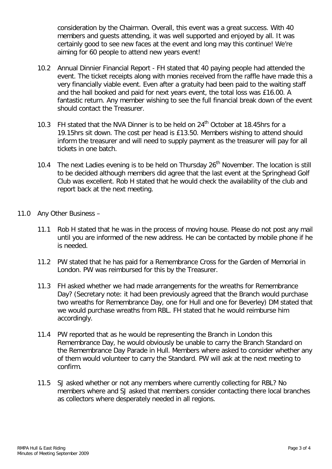consideration by the Chairman. Overall, this event was a great success. With 40 members and guests attending, it was well supported and enjoyed by all. It was certainly good to see new faces at the event and long may this continue! We're aiming for 60 people to attend new years event!

- 10.2 Annual Dinnier Financial Report FH stated that 40 paying people had attended the event. The ticket receipts along with monies received from the raffle have made this a very financially viable event. Even after a gratuity had been paid to the waiting staff and the hall booked and paid for next years event, the total loss was £16.00. A fantastic return. Any member wishing to see the full financial break down of the event should contact the Treasurer.
- 10.3 FH stated that the NVA Dinner is to be held on 24<sup>th</sup> October at 18.45hrs for a 19.15hrs sit down. The cost per head is £13.50. Members wishing to attend should inform the treasurer and will need to supply payment as the treasurer will pay for all tickets in one batch.
- 10.4 The next Ladies evening is to be held on Thursday  $26<sup>th</sup>$  November. The location is still to be decided although members did agree that the last event at the Springhead Golf Club was excellent. Rob H stated that he would check the availability of the club and report back at the next meeting.
- 11.0 Any Other Business
	- 11.1 Rob H stated that he was in the process of moving house. Please do not post any mail until you are informed of the new address. He can be contacted by mobile phone if he is needed.
	- 11.2 PW stated that he has paid for a Remembrance Cross for the Garden of Memorial in London. PW was reimbursed for this by the Treasurer.
	- 11.3 FH asked whether we had made arrangements for the wreaths for Remembrance Day? (Secretary note: it had been previously agreed that the Branch would purchase two wreaths for Remembrance Day, one for Hull and one for Beverley) DM stated that we would purchase wreaths from RBL. FH stated that he would reimburse him accordingly.
	- 11.4 PW reported that as he would be representing the Branch in London this Remembrance Day, he would obviously be unable to carry the Branch Standard on the Remembrance Day Parade in Hull. Members where asked to consider whether any of them would volunteer to carry the Standard. PW will ask at the next meeting to confirm.
	- 11.5 SJ asked whether or not any members where currently collecting for RBL? No members where and SJ asked that members consider contacting there local branches as collectors where desperately needed in all regions.